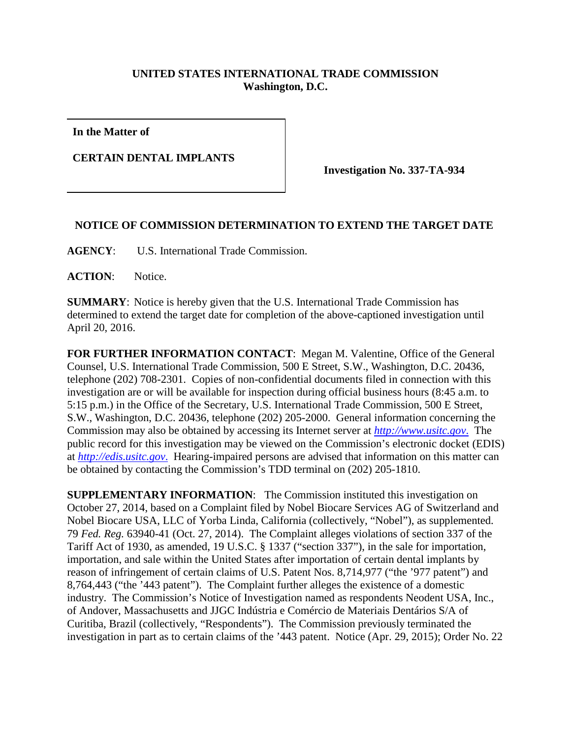## **UNITED STATES INTERNATIONAL TRADE COMMISSION Washington, D.C.**

**In the Matter of**

**CERTAIN DENTAL IMPLANTS**

**Investigation No. 337-TA-934**

## **NOTICE OF COMMISSION DETERMINATION TO EXTEND THE TARGET DATE**

**AGENCY**: U.S. International Trade Commission.

**ACTION**: Notice.

**SUMMARY**: Notice is hereby given that the U.S. International Trade Commission has determined to extend the target date for completion of the above-captioned investigation until April 20, 2016.

**FOR FURTHER INFORMATION CONTACT**: Megan M. Valentine, Office of the General Counsel, U.S. International Trade Commission, 500 E Street, S.W., Washington, D.C. 20436, telephone (202) 708-2301. Copies of non-confidential documents filed in connection with this investigation are or will be available for inspection during official business hours (8:45 a.m. to 5:15 p.m.) in the Office of the Secretary, U.S. International Trade Commission, 500 E Street, S.W., Washington, D.C. 20436, telephone (202) 205-2000. General information concerning the Commission may also be obtained by accessing its Internet server at *[http://www.usitc.gov](http://www.usitc.gov./)*. The public record for this investigation may be viewed on the Commission's electronic docket (EDIS) at *[http://edis.usitc.gov](http://edis.usitc.gov./)*. Hearing-impaired persons are advised that information on this matter can be obtained by contacting the Commission's TDD terminal on (202) 205-1810.

**SUPPLEMENTARY INFORMATION:** The Commission instituted this investigation on October 27, 2014, based on a Complaint filed by Nobel Biocare Services AG of Switzerland and Nobel Biocare USA, LLC of Yorba Linda, California (collectively, "Nobel"), as supplemented. 79 *Fed. Reg.* 63940-41 (Oct. 27, 2014). The Complaint alleges violations of section 337 of the Tariff Act of 1930, as amended, 19 U.S.C. § 1337 ("section 337"), in the sale for importation, importation, and sale within the United States after importation of certain dental implants by reason of infringement of certain claims of U.S. Patent Nos. 8,714,977 ("the '977 patent") and 8,764,443 ("the '443 patent"). The Complaint further alleges the existence of a domestic industry. The Commission's Notice of Investigation named as respondents Neodent USA, Inc., of Andover, Massachusetts and JJGC Indústria e Comércio de Materiais Dentários S/A of Curitiba, Brazil (collectively, "Respondents"). The Commission previously terminated the investigation in part as to certain claims of the '443 patent. Notice (Apr. 29, 2015); Order No. 22